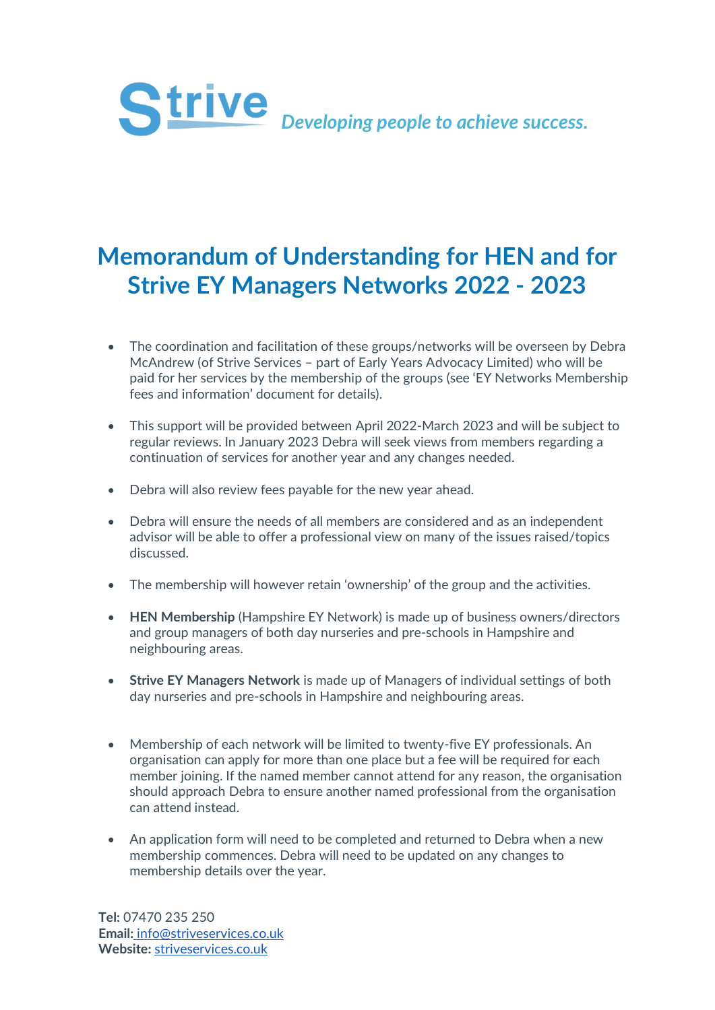

## **Memorandum of Understanding for HEN and for Strive EY Managers Networks 2022 - 2023**

- The coordination and facilitation of these groups/networks will be overseen by Debra McAndrew (of Strive Services – part of Early Years Advocacy Limited) who will be paid for her services by the membership of the groups (see 'EY Networks Membership fees and information' document for details).
- This support will be provided between April 2022-March 2023 and will be subject to regular reviews. In January 2023 Debra will seek views from members regarding a continuation of services for another year and any changes needed.
- Debra will also review fees payable for the new year ahead.
- Debra will ensure the needs of all members are considered and as an independent advisor will be able to offer a professional view on many of the issues raised/topics discussed.
- The membership will however retain 'ownership' of the group and the activities.
- **HEN Membership** (Hampshire EY Network) is made up of business owners/directors and group managers of both day nurseries and pre-schools in Hampshire and neighbouring areas.
- **Strive EY Managers Network** is made up of Managers of individual settings of both day nurseries and pre-schools in Hampshire and neighbouring areas.
- Membership of each network will be limited to twenty-five EY professionals. An organisation can apply for more than one place but a fee will be required for each member joining. If the named member cannot attend for any reason, the organisation should approach Debra to ensure another named professional from the organisation can attend instead.
- An application form will need to be completed and returned to Debra when a new membership commences. Debra will need to be updated on any changes to membership details over the year.

**Tel:** 07470 235 250 **Email[:](mailto:info@striveservices.co.uk)** [info@striveservices.co.uk](mailto:info@striveservices.co.uk) **Website:** [striveservices.co.uk](http://www.striveservices.co.uk/)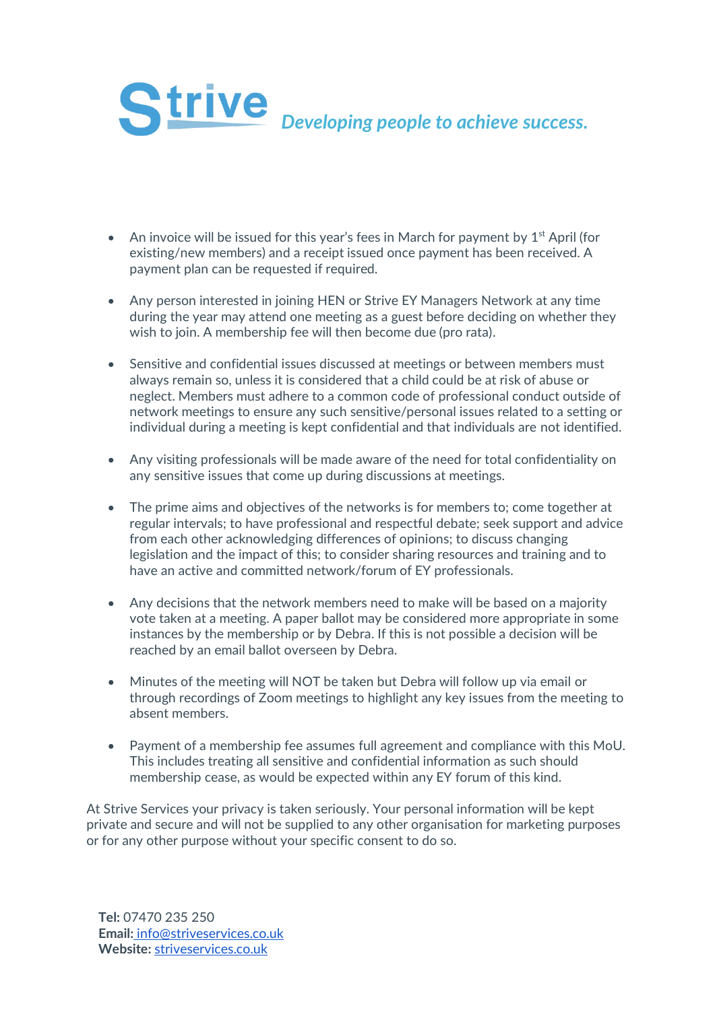

- An invoice will be issued for this year's fees in March for payment by  $1<sup>st</sup>$  April (for existing/new members) and a receipt issued once payment has been received. A payment plan can be requested if required.
- Any person interested in joining HEN or Strive EY Managers Network at any time during the year may attend one meeting as a guest before deciding on whether they wish to join. A membership fee will then become due (pro rata).
- Sensitive and confidential issues discussed at meetings or between members must always remain so, unless it is considered that a child could be at risk of abuse or neglect. Members must adhere to a common code of professional conduct outside of network meetings to ensure any such sensitive/personal issues related to a setting or individual during a meeting is kept confidential and that individuals are not identified.
- Any visiting professionals will be made aware of the need for total confidentiality on any sensitive issues that come up during discussions at meetings.
- The prime aims and objectives of the networks is for members to; come together at regular intervals; to have professional and respectful debate; seek support and advice from each other acknowledging differences of opinions; to discuss changing legislation and the impact of this; to consider sharing resources and training and to have an active and committed network/forum of EY professionals.
- Any decisions that the network members need to make will be based on a majority vote taken at a meeting. A paper ballot may be considered more appropriate in some instances by the membership or by Debra. If this is not possible a decision will be reached by an email ballot overseen by Debra.
- Minutes of the meeting will NOT be taken but Debra will follow up via email or through recordings of Zoom meetings to highlight any key issues from the meeting to absent members.
- Payment of a membership fee assumes full agreement and compliance with this MoU. This includes treating all sensitive and confidential information as such should membership cease, as would be expected within any EY forum of this kind.

At Strive Services your privacy is taken seriously. Your personal information will be kept private and secure and will not be supplied to any other organisation for marketing purposes or for any other purpose without your specific consent to do so.

**Tel:** 07470 235 250 **Email[:](mailto:info@striveservices.co.uk)** [info@striveservices.co.uk](mailto:info@striveservices.co.uk) **Website:** [striveservices.co.uk](http://www.striveservices.co.uk/)